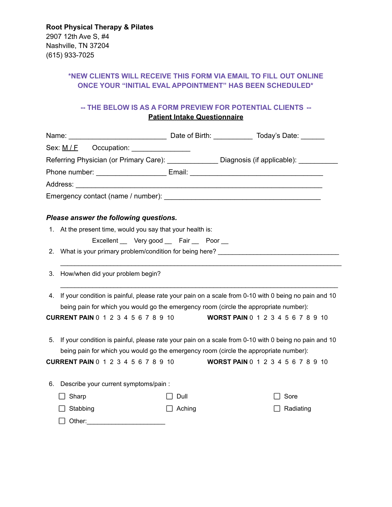## **\*NEW CLIENTS WILL RECEIVE THIS FORM VIA EMAIL TO FILL OUT ONLINE ONCE YOUR "INITIAL EVAL APPOINTMENT" HAS BEEN SCHEDULED\***

## **-- THE BELOW IS AS A FORM PREVIEW FOR POTENTIAL CLIENTS -- Patient Intake Questionnaire**

|    | Sex: M/F Occupation: ______________                                                                                                                                                                                                         |                                          |           |  |
|----|---------------------------------------------------------------------------------------------------------------------------------------------------------------------------------------------------------------------------------------------|------------------------------------------|-----------|--|
|    | Referring Physician (or Primary Care): ________________ Diagnosis (if applicable): __________                                                                                                                                               |                                          |           |  |
|    |                                                                                                                                                                                                                                             |                                          |           |  |
|    |                                                                                                                                                                                                                                             |                                          |           |  |
|    |                                                                                                                                                                                                                                             |                                          |           |  |
|    | Please answer the following questions.                                                                                                                                                                                                      |                                          |           |  |
|    | 1. At the present time, would you say that your health is:                                                                                                                                                                                  |                                          |           |  |
|    | Excellent Very good Fair Poor                                                                                                                                                                                                               |                                          |           |  |
|    | 2. What is your primary problem/condition for being here? _______________________                                                                                                                                                           |                                          |           |  |
| 3. | How/when did your problem begin?                                                                                                                                                                                                            |                                          |           |  |
| 4. | If your condition is painful, please rate your pain on a scale from 0-10 with 0 being no pain and 10<br>being pain for which you would go the emergency room (circle the appropriate number):<br><b>CURRENT PAIN 0 1 2 3 4 5 6 7 8 9 10</b> | <b>WORST PAIN</b> 0 1 2 3 4 5 6 7 8 9 10 |           |  |
|    |                                                                                                                                                                                                                                             |                                          |           |  |
| 5. | If your condition is painful, please rate your pain on a scale from 0-10 with 0 being no pain and 10<br>being pain for which you would go the emergency room (circle the appropriate number):                                               |                                          |           |  |
|    | <b>CURRENT PAIN 0 1 2 3 4 5 6 7 8 9 10</b>                                                                                                                                                                                                  | <b>WORST PAIN</b> 0 1 2 3 4 5 6 7 8 9 10 |           |  |
|    |                                                                                                                                                                                                                                             |                                          |           |  |
| 6. | Describe your current symptoms/pain :                                                                                                                                                                                                       |                                          |           |  |
|    | Sharp                                                                                                                                                                                                                                       | Dull                                     | Sore      |  |
|    | Stabbing                                                                                                                                                                                                                                    | Aching                                   | Radiating |  |
|    |                                                                                                                                                                                                                                             |                                          |           |  |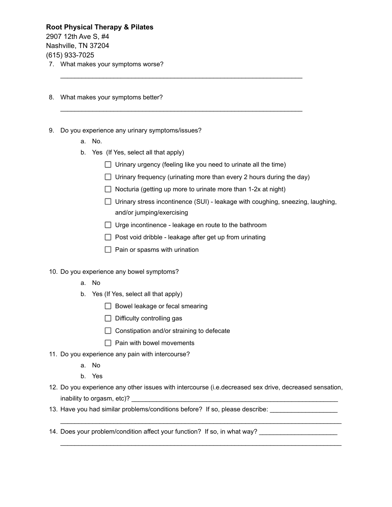**Root Physical Therapy & Pilates** 2907 12th Ave S, #4 Nashville, TN 37204 (615) 933-7025 7. What makes your symptoms worse?

- 
- 8. What makes your symptoms better?
- 9. Do you experience any urinary symptoms/issues?
	- a. No.
	- b. Yes (If Yes, select all that apply)
		- $\Box$  Urinary urgency (feeling like you need to urinate all the time)

 $\_$  ,  $\_$  ,  $\_$  ,  $\_$  ,  $\_$  ,  $\_$  ,  $\_$  ,  $\_$  ,  $\_$  ,  $\_$  ,  $\_$  ,  $\_$  ,  $\_$  ,  $\_$  ,  $\_$  ,  $\_$  ,  $\_$  ,  $\_$  ,  $\_$  ,  $\_$ 

 $\_$  ,  $\_$  ,  $\_$  ,  $\_$  ,  $\_$  ,  $\_$  ,  $\_$  ,  $\_$  ,  $\_$  ,  $\_$  ,  $\_$  ,  $\_$  ,  $\_$  ,  $\_$  ,  $\_$  ,  $\_$  ,  $\_$  ,  $\_$  ,  $\_$  ,  $\_$ 

- $\Box$  Urinary frequency (urinating more than every 2 hours during the day)
- $\Box$  Nocturia (getting up more to urinate more than 1-2x at night)
- $\Box$  Urinary stress incontinence (SUI) leakage with coughing, sneezing, laughing, and/or jumping/exercising
- $\Box$  Urge incontinence leakage en route to the bathroom
- $\Box$  Post void dribble leakage after get up from urinating
- $\Box$  Pain or spasms with urination
- 10. Do you experience any bowel symptoms?
	- a. No
	- b. Yes (If Yes, select all that apply)
		- $\Box$  Bowel leakage or fecal smearing
		- $\Box$  Difficulty controlling gas
		- $\Box$  Constipation and/or straining to defecate
		- $\Box$  Pain with bowel movements
- 11. Do you experience any pain with intercourse?
	- a. No
	- b. Yes
- 12. Do you experience any other issues with intercourse (i.e.decreased sex drive, decreased sensation, inability to orgasm, etc)?

 $\mathcal{L}_\text{max}$  , and the set of the set of the set of the set of the set of the set of the set of the set of the set of the set of the set of the set of the set of the set of the set of the set of the set of the set of the

 $\mathcal{L}_\text{max}$  , and the set of the set of the set of the set of the set of the set of the set of the set of the set of the set of the set of the set of the set of the set of the set of the set of the set of the set of the

- 13. Have you had similar problems/conditions before? If so, please describe:
- 14. Does your problem/condition affect your function? If so, in what way?